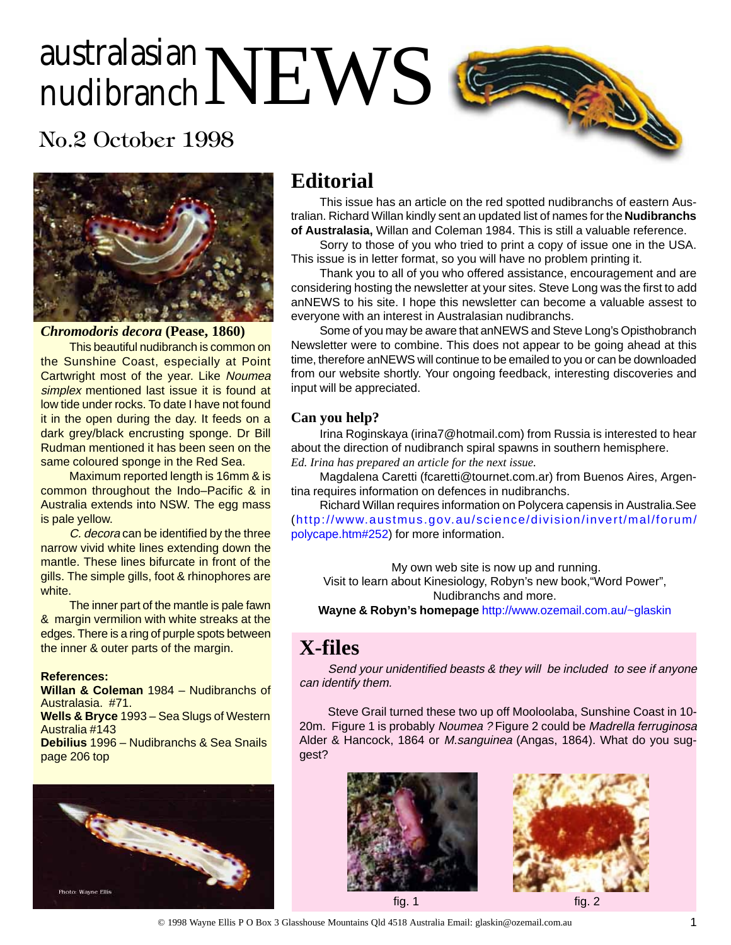# australasian $\mathbf{NEWS}$

## No.2 October 1998



*Chromodoris decora* **(Pease, 1860)**

This beautiful nudibranch is common on the Sunshine Coast, especially at Point Cartwright most of the year. Like Noumea simplex mentioned last issue it is found at low tide under rocks. To date I have not found it in the open during the day. It feeds on a dark grey/black encrusting sponge. Dr Bill Rudman mentioned it has been seen on the same coloured sponge in the Red Sea.

Maximum reported length is 16mm & is common throughout the Indo–Pacific & in Australia extends into NSW. The egg mass is pale yellow.

C. decora can be identified by the three narrow vivid white lines extending down the mantle. These lines bifurcate in front of the gills. The simple gills, foot & rhinophores are white.

The inner part of the mantle is pale fawn & margin vermilion with white streaks at the edges. There is a ring of purple spots between the inner & outer parts of the margin.

#### **References:**

**Willan & Coleman** 1984 – Nudibranchs of Australasia. #71. **Wells & Bryce** 1993 – Sea Slugs of Western Australia #143 **Debilius** 1996 – Nudibranchs & Sea Snails page 206 top



## **Editorial**

This issue has an article on the red spotted nudibranchs of eastern Australian. Richard Willan kindly sent an updated list of names for the **Nudibranchs of Australasia,** Willan and Coleman 1984. This is still a valuable reference.

Sorry to those of you who tried to print a copy of issue one in the USA. This issue is in letter format, so you will have no problem printing it.

Thank you to all of you who offered assistance, encouragement and are considering hosting the newsletter at your sites. Steve Long was the first to add anNEWS to his site. I hope this newsletter can become a valuable assest to everyone with an interest in Australasian nudibranchs.

Some of you may be aware that anNEWS and Steve Long's Opisthobranch Newsletter were to combine. This does not appear to be going ahead at this time, therefore anNEWS will continue to be emailed to you or can be downloaded from our website shortly. Your ongoing feedback, interesting discoveries and input will be appreciated.

#### **Can you help?**

Irina Roginskaya (irina7@hotmail.com) from Russia is interested to hear about the direction of nudibranch spiral spawns in southern hemisphere.

*Ed. Irina has prepared an article for the next issue.*

Magdalena Caretti (fcaretti@tournet.com.ar) from Buenos Aires, Argentina requires information on defences in nudibranchs.

Richard Willan requires information on Polycera capensis in Australia.See ([http://www.austmus.gov.au/science/division/invert/mal/forum/](http://www.austmus.gov.au/science/division/invert/mal/forum/polycape.htm#252) [polycape.htm#252](http://www.austmus.gov.au/science/division/invert/mal/forum/polycape.htm#252)) for more information.

My own web site is now up and running.

Visit to learn about Kinesiology, Robyn's new book,"Word Power", Nudibranchs and more.

**Wayne & Robyn's homepage** <http://www.ozemail.com.au/~glaskin>

## **X-files**

Send your unidentified beasts & they will be included to see if anyone can identify them.

Steve Grail turned these two up off Mooloolaba, Sunshine Coast in 10- 20m. Figure 1 is probably Noumea ? Figure 2 could be Madrella ferruginosa Alder & Hancock, 1864 or M.sanguinea (Angas, 1864). What do you suggest?



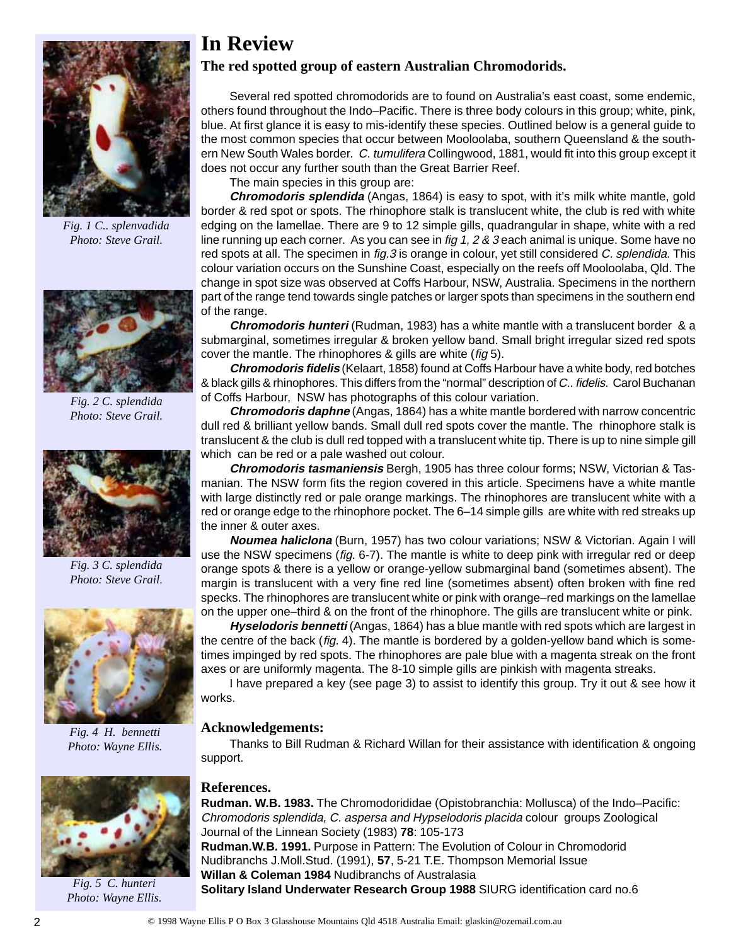

*Fig. 1 C.. splenvadida Photo: Steve Grail.*



*Fig. 2 C. splendida Photo: Steve Grail.*



*Fig. 3 C. splendida Photo: Steve Grail.*



*Fig. 4 H. bennetti Photo: Wayne Ellis.*



*Fig. 5 C. hunteri Photo: Wayne Ellis.*

## **In Review**

#### **The red spotted group of eastern Australian Chromodorids.**

Several red spotted chromodorids are to found on Australia's east coast, some endemic, others found throughout the Indo–Pacific. There is three body colours in this group; white, pink, blue. At first glance it is easy to mis-identify these species. Outlined below is a general guide to the most common species that occur between Mooloolaba, southern Queensland & the southern New South Wales border. C. tumulifera Collingwood, 1881, would fit into this group except it does not occur any further south than the Great Barrier Reef.

The main species in this group are:

**Chromodoris splendida** (Angas, 1864) is easy to spot, with it's milk white mantle, gold border & red spot or spots. The rhinophore stalk is translucent white, the club is red with white edging on the lamellae. There are 9 to 12 simple gills, quadrangular in shape, white with a red line running up each corner. As you can see in  $f$ ig 1, 2 & 3 each animal is unique. Some have no red spots at all. The specimen in fig.3 is orange in colour, yet still considered C. splendida. This colour variation occurs on the Sunshine Coast, especially on the reefs off Mooloolaba, Qld. The change in spot size was observed at Coffs Harbour, NSW, Australia. Specimens in the northern part of the range tend towards single patches or larger spots than specimens in the southern end of the range.

**Chromodoris hunteri** (Rudman, 1983) has a white mantle with a translucent border & a submarginal, sometimes irregular & broken yellow band. Small bright irregular sized red spots cover the mantle. The rhinophores & gills are white (fig 5).

**Chromodoris fidelis** (Kelaart, 1858) found at Coffs Harbour have a white body, red botches & black gills & rhinophores. This differs from the "normal" description of C.. fidelis. Carol Buchanan of Coffs Harbour, NSW has photographs of this colour variation.

**Chromodoris daphne** (Angas, 1864) has a white mantle bordered with narrow concentric dull red & brilliant yellow bands. Small dull red spots cover the mantle. The rhinophore stalk is translucent & the club is dull red topped with a translucent white tip. There is up to nine simple gill which can be red or a pale washed out colour.

**Chromodoris tasmaniensis** Bergh, 1905 has three colour forms; NSW, Victorian & Tasmanian. The NSW form fits the region covered in this article. Specimens have a white mantle with large distinctly red or pale orange markings. The rhinophores are translucent white with a red or orange edge to the rhinophore pocket. The 6–14 simple gills are white with red streaks up the inner & outer axes.

**Noumea haliclona** (Burn, 1957) has two colour variations; NSW & Victorian. Again I will use the NSW specimens (fig. 6-7). The mantle is white to deep pink with irregular red or deep orange spots & there is a yellow or orange-yellow submarginal band (sometimes absent). The margin is translucent with a very fine red line (sometimes absent) often broken with fine red specks. The rhinophores are translucent white or pink with orange–red markings on the lamellae on the upper one–third & on the front of the rhinophore. The gills are translucent white or pink.

**Hyselodoris bennetti** (Angas, 1864) has a blue mantle with red spots which are largest in the centre of the back (fig. 4). The mantle is bordered by a golden-yellow band which is sometimes impinged by red spots. The rhinophores are pale blue with a magenta streak on the front axes or are uniformly magenta. The 8-10 simple gills are pinkish with magenta streaks.

I have prepared a key (see page 3) to assist to identify this group. Try it out & see how it works.

#### **Acknowledgements:**

Thanks to Bill Rudman & Richard Willan for their assistance with identification & ongoing support.

#### **References.**

**Rudman. W.B. 1983.** The Chromodorididae (Opistobranchia: Mollusca) of the Indo–Pacific: Chromodoris splendida, C. aspersa and Hypselodoris placida colour groups Zoological Journal of the Linnean Society (1983) **78**: 105-173 **Rudman.W.B. 1991.** Purpose in Pattern: The Evolution of Colour in Chromodorid Nudibranchs J.Moll.Stud. (1991), **57**, 5-21 T.E. Thompson Memorial Issue **Willan & Coleman 1984** Nudibranchs of Australasia **Solitary Island Underwater Research Group 1988** SIURG identification card no.6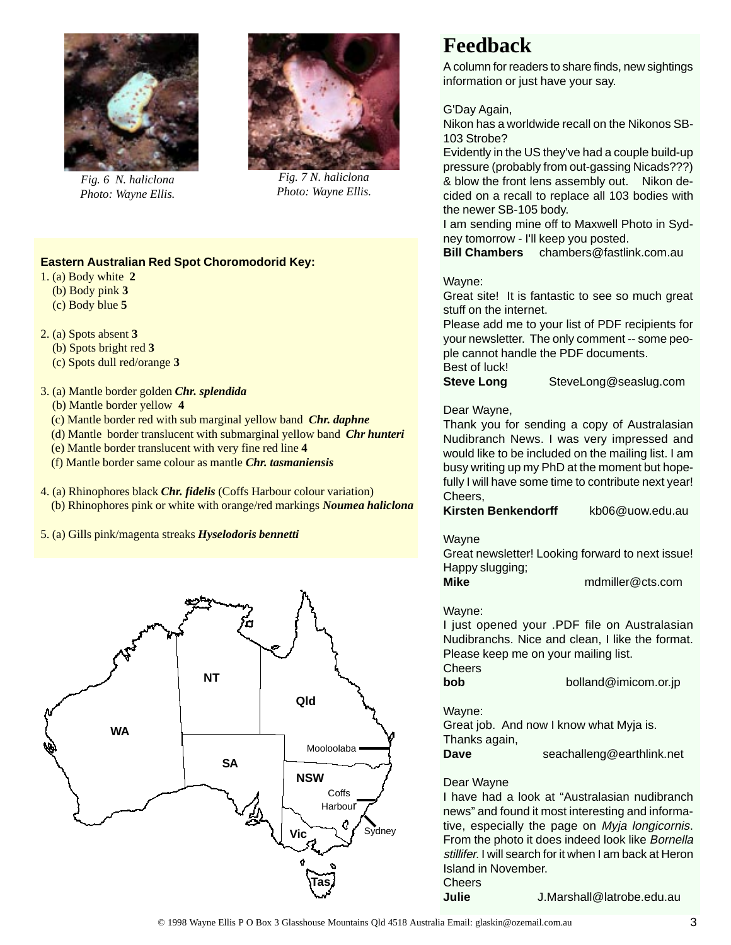

*Fig. 6 N. haliclona Photo: Wayne Ellis.*



*Fig. 7 N. haliclona Photo: Wayne Ellis.*

#### **Eastern Australian Red Spot Choromodorid Key:**

1. (a) Body white **2**

- (b) Body pink **3**
- (c) Body blue **5**
- 2. (a) Spots absent **3**
	- (b) Spots bright red **3**
	- (c) Spots dull red/orange **3**
- 3. (a) Mantle border golden *Chr. splendida*
	- (b) Mantle border yellow **4**
	- (c) Mantle border red with sub marginal yellow band *Chr. daphne*
	- (d) Mantle border translucent with submarginal yellow band *Chr hunteri*
	- (e) Mantle border translucent with very fine red line **4**
	- (f) Mantle border same colour as mantle *Chr. tasmaniensis*
- 4. (a) Rhinophores black *Chr. fidelis* (Coffs Harbour colour variation) (b) Rhinophores pink or white with orange/red markings *Noumea haliclona*
- 5. (a) Gills pink/magenta streaks *Hyselodoris bennetti*



## **Feedback**

A column for readers to share finds, new sightings information or just have your say.

#### G'Day Again,

Nikon has a worldwide recall on the Nikonos SB-103 Strobe?

Evidently in the US they've had a couple build-up pressure (probably from out-gassing Nicads???) & blow the front lens assembly out. Nikon decided on a recall to replace all 103 bodies with the newer SB-105 body.

I am sending mine off to Maxwell Photo in Sydney tomorrow - I'll keep you posted.

**Bill Chambers** chambers@fastlink.com.au

#### Wayne:

Great site! It is fantastic to see so much great stuff on the internet.

Please add me to your list of PDF recipients for your newsletter. The only comment -- some people cannot handle the PDF documents. Best of luck!

**Steve Long** SteveLong@seaslug.com

#### Dear Wayne,

Thank you for sending a copy of Australasian Nudibranch News. I was very impressed and would like to be included on the mailing list. I am busy writing up my PhD at the moment but hopefully I will have some time to contribute next year! Cheers,

**Kirsten Benkendorff** kb06@uow.edu.au

#### Wayne

Great newsletter! Looking forward to next issue! Happy slugging;

**Mike** mdmiller@cts.com

#### Wayne:

I just opened your .PDF file on Australasian Nudibranchs. Nice and clean, I like the format. Please keep me on your mailing list.

**Cheers** 

**bob** bolland@imicom.or.jp

#### Wayne:

Great job. And now I know what Myja is. Thanks again,

**Dave** seachalleng@earthlink.net

#### Dear Wayne

I have had a look at "Australasian nudibranch news" and found it most interesting and informative, especially the page on Myja longicornis. From the photo it does indeed look like Bornella stillifer. I will search for it when I am back at Heron Island in November. Cheers

**Julie** J.Marshall@latrobe.edu.au